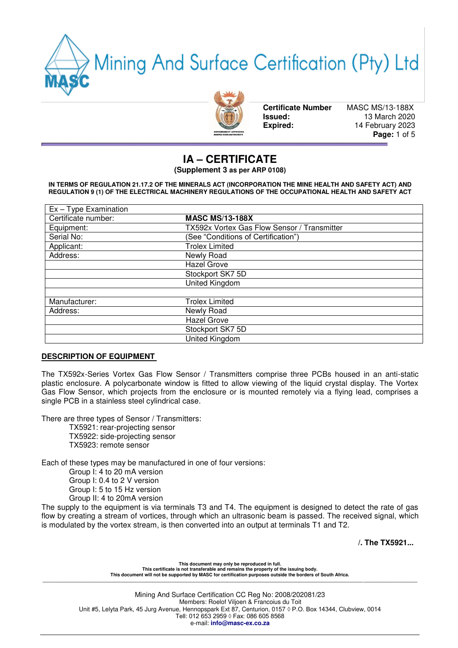Mining And Surface Certification (Pty) Ltd



**Certificate Number** MASC MS/13-188X

 **Issued:** 13 March 2020  **Expired:** 14 February 2023 **Page:** 1 of 5

# **IA – CERTIFICATE**

**(Supplement 3 as per ARP 0108)**

**IN TERMS OF REGULATION 21.17.2 OF THE MINERALS ACT (INCORPORATION THE MINE HEALTH AND SAFETY ACT) AND REGULATION 9 (1) OF THE ELECTRICAL MACHINERY REGULATIONS OF THE OCCUPATIONAL HEALTH AND SAFETY ACT** 

| $Ex - Type Examination$ |                                             |  |  |
|-------------------------|---------------------------------------------|--|--|
| Certificate number:     | <b>MASC MS/13-188X</b>                      |  |  |
| Equipment:              | TX592x Vortex Gas Flow Sensor / Transmitter |  |  |
| Serial No:              | (See "Conditions of Certification")         |  |  |
| Applicant:              | <b>Trolex Limited</b>                       |  |  |
| Address:                | Newly Road                                  |  |  |
|                         | Hazel Grove                                 |  |  |
|                         | Stockport SK7 5D                            |  |  |
|                         | United Kingdom                              |  |  |
|                         |                                             |  |  |
| Manufacturer:           | <b>Trolex Limited</b>                       |  |  |
| Address:                | Newly Road                                  |  |  |
|                         | Hazel Grove                                 |  |  |
|                         | Stockport SK7 5D                            |  |  |
|                         | United Kingdom                              |  |  |

### **DESCRIPTION OF EQUIPMENT**

The TX592x-Series Vortex Gas Flow Sensor / Transmitters comprise three PCBs housed in an anti-static plastic enclosure. A polycarbonate window is fitted to allow viewing of the liquid crystal display. The Vortex Gas Flow Sensor, which projects from the enclosure or is mounted remotely via a flying lead, comprises a single PCB in a stainless steel cylindrical case.

There are three types of Sensor / Transmitters:

TX5921: rear-projecting sensor

TX5922: side-projecting sensor

TX5923: remote sensor

Each of these types may be manufactured in one of four versions:

 Group I: 4 to 20 mA version Group I: 0.4 to 2 V version Group I: 5 to 15 Hz version Group II: 4 to 20mA version

The supply to the equipment is via terminals T3 and T4. The equipment is designed to detect the rate of gas flow by creating a stream of vortices, through which an ultrasonic beam is passed. The received signal, which is modulated by the vortex stream, is then converted into an output at terminals T1 and T2.

**/. The TX5921...** 

**This document may only be reproduced in full. This certificate is not transferable and remains the property of the issuing body. This document will not be supported by MASC for certification purposes outside the borders of South Africa. \_\_\_\_\_\_\_\_\_\_\_\_\_\_\_\_\_\_\_\_\_\_\_\_\_\_\_\_\_\_\_\_\_\_\_\_\_\_\_\_\_\_\_\_\_\_\_\_\_\_\_\_\_\_\_\_\_\_\_\_\_\_\_\_\_\_\_\_\_\_\_\_\_\_\_\_\_\_\_\_\_\_\_\_\_\_\_\_\_\_\_\_\_\_\_\_\_\_\_\_\_\_\_\_\_\_\_\_\_\_\_\_\_\_\_\_\_\_\_\_\_\_\_\_\_\_\_\_\_\_\_\_\_\_\_\_\_\_\_\_\_\_\_\_\_\_**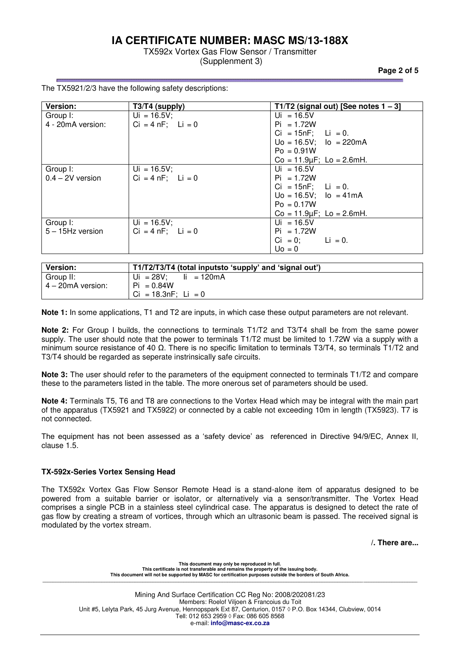TX592x Vortex Gas Flow Sensor / Transmitter (Supplenment 3)

**Page 2 of 5** 

| Version:            | $T3/T4$ (supply)       | T1/T2 (signal out) [See notes $1 - 3$ ] |
|---------------------|------------------------|-----------------------------------------|
| Group I:            | $Ui = 16.5V;$          | $Ui = 16.5V$                            |
| 4 - 20mA version:   | $Ci = 4 nF$ ; $Li = 0$ | $Pi = 1.72W$                            |
|                     |                        | $Ci = 15nF$ ; Li = 0.                   |
|                     |                        | $Uo = 16.5V$ ; $lo = 220mA$             |
|                     |                        | $Po = 0.91W$                            |
|                     |                        | $Co = 11.9 \mu F$ ; Lo = 2.6mH.         |
| Group I:            | $Ui = 16.5V;$          | $Ui = 16.5V$                            |
| $0.4 - 2V$ version  | $Ci = 4 nF$ ; $Li = 0$ | $Pi = 1.72W$                            |
|                     |                        | $Ci = 15nF$ ; Li = 0.                   |
|                     |                        | $Uo = 16.5V$ ; $lo = 41mA$              |
|                     |                        | $Po = 0.17W$                            |
|                     |                        | $Co = 11.9 \mu F$ ; Lo = 2.6mH.         |
| Group I:            | $Ui = 16.5V;$          | $Ui = 16.5V$                            |
| $5 - 15$ Hz version | $Ci = 4 nF$ ; $Li = 0$ | $Pi = 1.72W$                            |
|                     |                        | $Ci = 0;$ $Li = 0.$                     |
|                     |                        | $U_0 = 0$                               |
|                     |                        |                                         |

The TX5921/2/3 have the following safety descriptions:

| Version:          | T1/T2/T3/T4 (total inputsto 'supply' and 'signal out') |
|-------------------|--------------------------------------------------------|
| Group II:         | Ui = $28V$ ;<br>li = 120mA                             |
| 4 - 20mA version: | $Pi = 0.84W$                                           |
|                   | $Ci = 18.3nF$ : Li = 0                                 |

**Note 1:** In some applications, T1 and T2 are inputs, in which case these output parameters are not relevant.

**Note 2:** For Group I builds, the connections to terminals T1/T2 and T3/T4 shall be from the same power supply. The user should note that the power to terminals T1/T2 must be limited to 1.72W via a supply with a minimum source resistance of 40 Ω. There is no specific limitation to terminals T3/T4, so terminals T1/T2 and T3/T4 should be regarded as seperate instrinsically safe circuits.

**Note 3:** The user should refer to the parameters of the equipment connected to terminals T1/T2 and compare these to the parameters listed in the table. The more onerous set of parameters should be used.

**Note 4:** Terminals T5, T6 and T8 are connections to the Vortex Head which may be integral with the main part of the apparatus (TX5921 and TX5922) or connected by a cable not exceeding 10m in length (TX5923). T7 is not connected.

The equipment has not been assessed as a 'safety device' as referenced in Directive 94/9/EC, Annex II, clause 1.5.

### **TX-592x-Series Vortex Sensing Head**

The TX592x Vortex Gas Flow Sensor Remote Head is a stand-alone item of apparatus designed to be powered from a suitable barrier or isolator, or alternatively via a sensor/transmitter. The Vortex Head comprises a single PCB in a stainless steel cylindrical case. The apparatus is designed to detect the rate of gas flow by creating a stream of vortices, through which an ultrasonic beam is passed. The received signal is modulated by the vortex stream.

**/. There are...** 

**This document may only be reproduced in full. This certificate is not transferable and remains the property of the issuing body. This document will not be supported by MASC for certification purposes outside the borders of South Africa. \_\_\_\_\_\_\_\_\_\_\_\_\_\_\_\_\_\_\_\_\_\_\_\_\_\_\_\_\_\_\_\_\_\_\_\_\_\_\_\_\_\_\_\_\_\_\_\_\_\_\_\_\_\_\_\_\_\_\_\_\_\_\_\_\_\_\_\_\_\_\_\_\_\_\_\_\_\_\_\_\_\_\_\_\_\_\_\_\_\_\_\_\_\_\_\_\_\_\_\_\_\_\_\_\_\_\_\_\_\_\_\_\_\_\_\_\_\_\_\_\_\_\_\_\_\_\_\_\_\_\_\_\_\_\_\_\_\_\_\_\_\_\_\_\_\_**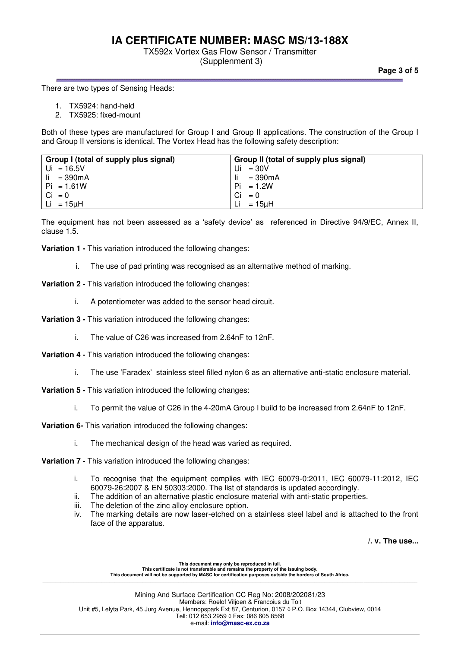## TX592x Vortex Gas Flow Sensor / Transmitter

(Supplenment 3)

**Page 3 of 5** 

#### There are two types of Sensing Heads:

- 1. TX5924: hand-held
- 2. TX5925: fixed-mount

Both of these types are manufactured for Group I and Group II applications. The construction of the Group I and Group II versions is identical. The Vortex Head has the following safety description:

| Group I (total of supply plus signal) | Group II (total of supply plus signal) |
|---------------------------------------|----------------------------------------|
| Ui = $16.5V$                          | $=30V$<br>Ui                           |
| -li<br>= 390mA                        | $= 390 \text{mA}$                      |
| $Pi = 1.61W$                          | Pi<br>$= 1.2W$                         |
| $Ci = 0$                              | Ci<br>$= 0$                            |
| Li = 15 $u$ H                         | $=15$ uH                               |

The equipment has not been assessed as a 'safety device' as referenced in Directive 94/9/EC, Annex II, clause 1.5.

**Variation 1 -** This variation introduced the following changes:

- i. The use of pad printing was recognised as an alternative method of marking.
- **Variation 2** This variation introduced the following changes:
	- i. A potentiometer was added to the sensor head circuit.
- **Variation 3** This variation introduced the following changes:
	- i. The value of C26 was increased from 2.64nF to 12nF.
- **Variation 4** This variation introduced the following changes:
	- i. The use 'Faradex' stainless steel filled nylon 6 as an alternative anti-static enclosure material.
- **Variation 5** This variation introduced the following changes:
	- i. To permit the value of C26 in the 4-20mA Group I build to be increased from 2.64nF to 12nF.

**Variation 6-** This variation introduced the following changes:

- i. The mechanical design of the head was varied as required.
- **Variation 7** This variation introduced the following changes:
	- i. To recognise that the equipment complies with IEC 60079-0:2011, IEC 60079-11:2012, IEC 60079-26:2007 & EN 50303:2000. The list of standards is updated accordingly.
	- ii. The addition of an alternative plastic enclosure material with anti-static properties.
	- iii. The deletion of the zinc alloy enclosure option.
	- iv. The marking details are now laser-etched on a stainless steel label and is attached to the front face of the apparatus.

**/. v. The use...** 

This document may only be reproduced in full.<br>This certificate is not transferable and remains the property of the issuing body.<br>This document will not be supported by MASC for certification purposes outside the borders of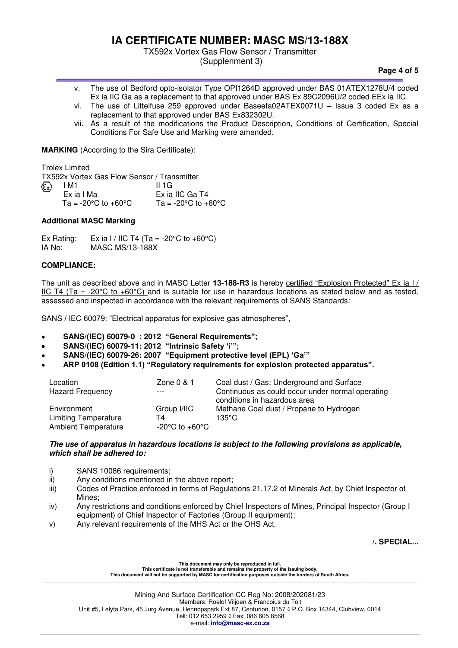TX592x Vortex Gas Flow Sensor / Transmitter

(Supplenment 3)

#### **Page 4 of 5**

- v. The use of Bedford opto-isolator Type OPI1264D approved under BAS 01ATEX1278U/4 coded Ex ia IIC Ga as a replacement to that approved under BAS Ex 89C2096U/2 coded EEx ia IIC.
- vi. The use of Littelfuse 259 approved under Baseefa02ATEX0071U Issue 3 coded Ex as a replacement to that approved under BAS Ex832302U.
- vii. As a result of the modifications the Product Description, Conditions of Certification, Special Conditions For Safe Use and Marking were amended.

**MARKING** (According to the Sira Certificate):

Trolex Limited

TX592x Vortex Gas Flow Sensor / Transmitter

| $\langle \widehat{\epsilon_{\mathsf{x}}}\rangle$ | I M1                                      | 11 1 G                                    |
|--------------------------------------------------|-------------------------------------------|-------------------------------------------|
|                                                  | Ex ia I Ma                                | Ex ia IIC Ga T4                           |
|                                                  | Ta = -20 $^{\circ}$ C to +60 $^{\circ}$ C | Ta = -20 $^{\circ}$ C to +60 $^{\circ}$ C |

### **Additional MASC Marking**

Ex Rating: Ex ia I / IIC T4 (Ta = -20°C to +60°C)<br>IA No: MASC MS/13-188X MASC MS/13-188X

## **COMPLIANCE:**

The unit as described above and in MASC Letter **13-188-R3** is hereby certified "Explosion Protected" Ex ia I / IIC T4 (Ta = -20 $\degree$ C to +60 $\degree$ C) and is suitable for use in hazardous locations as stated below and as tested, assessed and inspected in accordance with the relevant requirements of SANS Standards:

SANS / IEC 60079: "Electrical apparatus for explosive gas atmospheres",

- **SANS/(IEC) 60079-0 : 2012 "General Requirements";**
- **SANS/(IEC) 60079-11: 2012 "Intrinsic Safety 'i'";**
- **SANS/(IEC) 60079-26: 2007 "Equipment protective level (EPL) 'Ga'"**
- **ARP 0108 (Edition 1.1) "Regulatory requirements for explosion protected apparatus".**

| Location                    | Zone $0 & 1$   | Coal dust / Gas: Underground and Surface         |
|-----------------------------|----------------|--------------------------------------------------|
| <b>Hazard Frequency</b>     | $---$          | Continuous as could occur under normal operating |
|                             |                | conditions in hazardous area                     |
| Environment                 | Group I/IIC    | Methane Coal dust / Propane to Hydrogen          |
| <b>Limiting Temperature</b> | T4             | 135°C                                            |
| <b>Ambient Temperature</b>  | -20°C to +60°C |                                                  |

#### *The use of apparatus in hazardous locations is subject to the following provisions as applicable, which shall be adhered to:*

- i) SANS 10086 requirements;
- ii) Any conditions mentioned in the above report;
- iii) Codes of Practice enforced in terms of Regulations 21.17.2 of Minerals Act, by Chief Inspector of Mines;
- iv) Any restrictions and conditions enforced by Chief Inspectors of Mines, Principal Inspector (Group I equipment) of Chief Inspector of Factories (Group II equipment);
- v) Any relevant requirements of the MHS Act or the OHS Act.

**/. SPECIAL...**

**This document may only be reproduced in full. This certificate is not transferable and remains the property of the issuing body. This document will not be supported by MASC for certification purposes outside the borders of South Africa. \_\_\_\_\_\_\_\_\_\_\_\_\_\_\_\_\_\_\_\_\_\_\_\_\_\_\_\_\_\_\_\_\_\_\_\_\_\_\_\_\_\_\_\_\_\_\_\_\_\_\_\_\_\_\_\_\_\_\_\_\_\_\_\_\_\_\_\_\_\_\_\_\_\_\_\_\_\_\_\_\_\_\_\_\_\_\_\_\_\_\_\_\_\_\_\_\_\_\_\_\_\_\_\_\_\_\_\_\_\_\_\_\_\_\_\_\_\_\_\_\_\_\_\_\_\_\_\_\_\_\_\_\_\_\_\_\_\_\_\_\_\_\_\_\_\_**